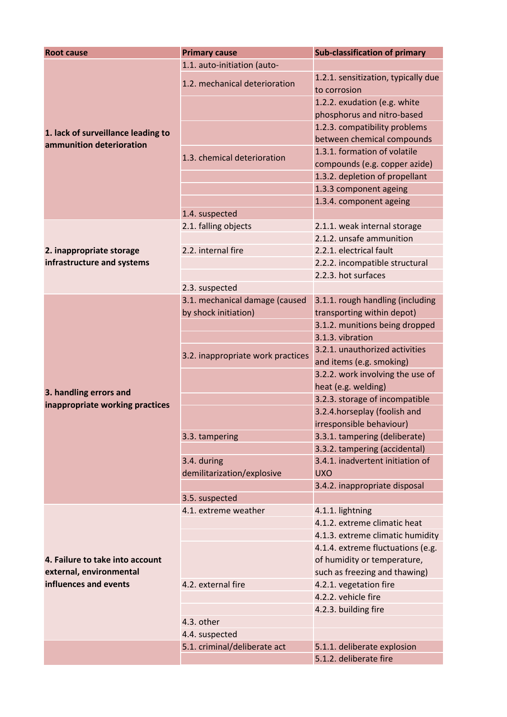| <b>Root cause</b>                                              | <b>Primary cause</b>                      | <b>Sub-classification of primary</b>                          |
|----------------------------------------------------------------|-------------------------------------------|---------------------------------------------------------------|
| 1. lack of surveillance leading to<br>ammunition deterioration | 1.1. auto-initiation (auto-               |                                                               |
|                                                                | 1.2. mechanical deterioration             | 1.2.1. sensitization, typically due<br>to corrosion           |
|                                                                |                                           | 1.2.2. exudation (e.g. white<br>phosphorus and nitro-based    |
|                                                                |                                           | 1.2.3. compatibility problems<br>between chemical compounds   |
|                                                                | 1.3. chemical deterioration               | 1.3.1. formation of volatile<br>compounds (e.g. copper azide) |
|                                                                |                                           | 1.3.2. depletion of propellant                                |
|                                                                |                                           | 1.3.3 component ageing                                        |
|                                                                |                                           | 1.3.4. component ageing                                       |
|                                                                | 1.4. suspected                            |                                                               |
| 2. inappropriate storage<br>infrastructure and systems         | 2.1. falling objects                      | 2.1.1. weak internal storage                                  |
|                                                                |                                           | 2.1.2. unsafe ammunition                                      |
|                                                                | 2.2. internal fire                        | 2.2.1. electrical fault                                       |
|                                                                |                                           | 2.2.2. incompatible structural                                |
|                                                                |                                           | 2.2.3. hot surfaces                                           |
|                                                                | 2.3. suspected                            |                                                               |
|                                                                | 3.1. mechanical damage (caused            | 3.1.1. rough handling (including                              |
|                                                                | by shock initiation)                      | transporting within depot)                                    |
|                                                                |                                           | 3.1.2. munitions being dropped                                |
|                                                                |                                           | 3.1.3. vibration                                              |
|                                                                |                                           | 3.2.1. unauthorized activities                                |
|                                                                | 3.2. inappropriate work practices         | and items (e.g. smoking)                                      |
|                                                                |                                           | 3.2.2. work involving the use of                              |
|                                                                |                                           | heat (e.g. welding)                                           |
| 3. handling errors and                                         |                                           | 3.2.3. storage of incompatible                                |
| inappropriate working practices                                |                                           | 3.2.4. horseplay (foolish and                                 |
|                                                                |                                           | irresponsible behaviour)                                      |
|                                                                | 3.3. tampering                            | 3.3.1. tampering (deliberate)                                 |
|                                                                |                                           | 3.3.2. tampering (accidental)                                 |
|                                                                | 3.4. during<br>demilitarization/explosive | 3.4.1. inadvertent initiation of<br><b>UXO</b>                |
|                                                                |                                           | 3.4.2. inappropriate disposal                                 |
|                                                                | 3.5. suspected                            |                                                               |
| 4. Failure to take into account                                | 4.1. extreme weather                      | 4.1.1. lightning                                              |
|                                                                |                                           | 4.1.2. extreme climatic heat                                  |
|                                                                |                                           | 4.1.3. extreme climatic humidity                              |
|                                                                |                                           | 4.1.4. extreme fluctuations (e.g.                             |
|                                                                |                                           | of humidity or temperature,                                   |
| external, environmental                                        |                                           | such as freezing and thawing)                                 |
| influences and events                                          | 4.2. external fire                        | 4.2.1. vegetation fire                                        |
|                                                                |                                           | 4.2.2. vehicle fire                                           |
|                                                                |                                           | 4.2.3. building fire                                          |
|                                                                | 4.3. other                                |                                                               |
|                                                                | 4.4. suspected                            |                                                               |
|                                                                | 5.1. criminal/deliberate act              | 5.1.1. deliberate explosion                                   |
|                                                                |                                           | 5.1.2. deliberate fire                                        |
|                                                                |                                           |                                                               |